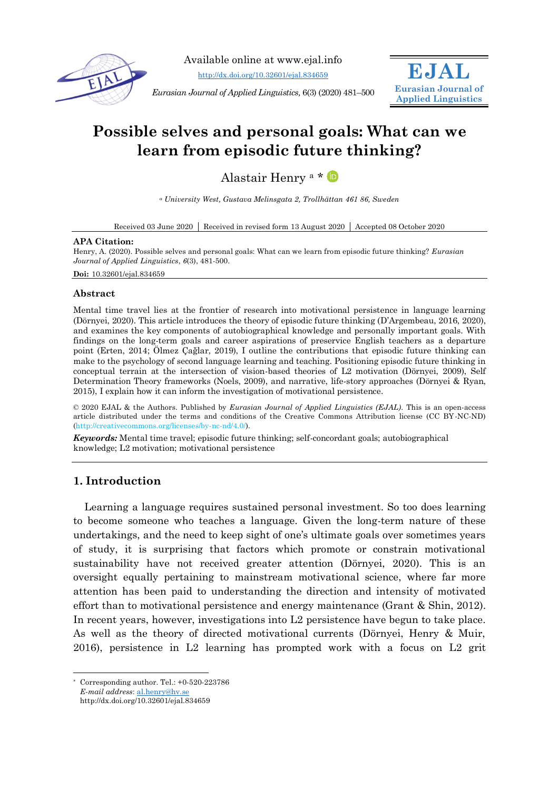

Available online at www.ejal.info

<http://dx.doi.org/10.32601/ejal.834659>

*Eurasian Journal of Applied Linguistics,* 6(3) (2020) 481–500



# **Possible selves and personal goals: What can we learn from episodic future thinking?**

Alastair Henry <sup>a</sup> \*

*<sup>a</sup> University West, Gustava Melinsgata 2, Trollhättan 461 86, Sweden*

Received 03 June 2020 Received in revised form 13 August 2020 Accepted 08 October 2020

#### **APA Citation:**

Henry, A. (2020). Possible selves and personal goals: What can we learn from episodic future thinking? *Eurasian Journal of Applied Linguistics*, *6*(3), 481-500.

**Doi:** 10.32601/ejal.834659

#### **Abstract**

Mental time travel lies at the frontier of research into motivational persistence in language learning (Dörnyei, 2020). This article introduces the theory of episodic future thinking (D'Argembeau, 2016, 2020), and examines the key components of autobiographical knowledge and personally important goals. With findings on the long-term goals and career aspirations of preservice English teachers as a departure point (Erten, 2014; Ölmez Çağlar, 2019), I outline the contributions that episodic future thinking can make to the psychology of second language learning and teaching. Positioning episodic future thinking in conceptual terrain at the intersection of vision-based theories of L2 motivation (Dörnyei, 2009), Self Determination Theory frameworks (Noels, 2009), and narrative, life-story approaches (Dörnyei & Ryan, 2015), I explain how it can inform the investigation of motivational persistence.

© 2020 EJAL & the Authors. Published by *Eurasian Journal of Applied Linguistics (EJAL)*. This is an open-access article distributed under the terms and conditions of the Creative Commons Attribution license (CC BY-NC-ND) (http://creativecommons.org/licenses/by-nc-nd/4.0/).

*Keywords:* Mental time travel; episodic future thinking; self-concordant goals; autobiographical knowledge; L2 motivation; motivational persistence

# **1. Introduction**

Learning a language requires sustained personal investment. So too does learning to become someone who teaches a language. Given the long-term nature of these undertakings, and the need to keep sight of one's ultimate goals over sometimes years of study, it is surprising that factors which promote or constrain motivational sustainability have not received greater attention (Dörnyei, 2020). This is an oversight equally pertaining to mainstream motivational science, where far more attention has been paid to understanding the direction and intensity of motivated effort than to motivational persistence and energy maintenance (Grant & Shin, 2012). In recent years, however, investigations into L2 persistence have begun to take place. As well as the theory of directed motivational currents (Dörnyei, Henry & Muir, 2016), persistence in L2 learning has prompted work with a focus on L2 grit

-

<sup>\*</sup> Corresponding author. Tel.: +0-520-223786

*E-mail address*: [al.henry@hv.se](mailto:al.henry@hv.se)

http://dx.doi.org/10.32601/ejal.834659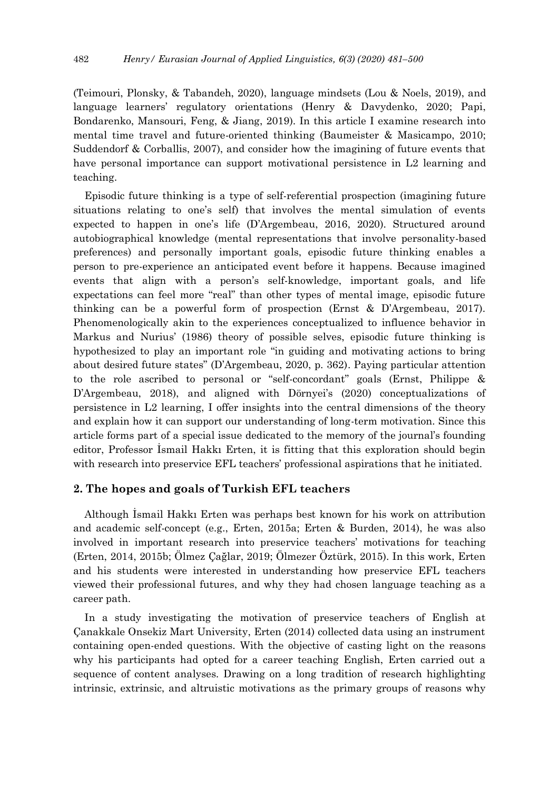(Teimouri, Plonsky, & Tabandeh, 2020), language mindsets (Lou & Noels, 2019), and language learners' regulatory orientations (Henry & Davydenko, 2020; Papi, Bondarenko, Mansouri, Feng, & Jiang, 2019). In this article I examine research into mental time travel and future-oriented thinking (Baumeister & Masicampo, 2010; Suddendorf & Corballis, 2007), and consider how the imagining of future events that have personal importance can support motivational persistence in L2 learning and teaching.

Episodic future thinking is a type of self-referential prospection (imagining future situations relating to one's self) that involves the mental simulation of events expected to happen in one's life (D'Argembeau, 2016, 2020). Structured around autobiographical knowledge (mental representations that involve personality-based preferences) and personally important goals, episodic future thinking enables a person to pre-experience an anticipated event before it happens. Because imagined events that align with a person's self-knowledge, important goals, and life expectations can feel more "real" than other types of mental image, episodic future thinking can be a powerful form of prospection (Ernst & D'Argembeau, 2017). Phenomenologically akin to the experiences conceptualized to influence behavior in Markus and Nurius' (1986) theory of possible selves, episodic future thinking is hypothesized to play an important role "in guiding and motivating actions to bring about desired future states" (D'Argembeau, 2020, p. 362). Paying particular attention to the role ascribed to personal or "self-concordant" goals (Ernst, Philippe & D'Argembeau, 2018), and aligned with Dörnyei's (2020) conceptualizations of persistence in L2 learning, I offer insights into the central dimensions of the theory and explain how it can support our understanding of long-term motivation. Since this article forms part of a special issue dedicated to the memory of the journal's founding editor, Professor İsmail Hakkı Erten, it is fitting that this exploration should begin with research into preservice EFL teachers' professional aspirations that he initiated.

# **2. The hopes and goals of Turkish EFL teachers**

Although İsmail Hakkı Erten was perhaps best known for his work on attribution and academic self-concept (e.g., Erten, 2015a; Erten & Burden, 2014), he was also involved in important research into preservice teachers' motivations for teaching (Erten, 2014, 2015b; Ölmez Çağlar, 2019; Ölmezer Öztürk, 2015). In this work, Erten and his students were interested in understanding how preservice EFL teachers viewed their professional futures, and why they had chosen language teaching as a career path.

In a study investigating the motivation of preservice teachers of English at Çanakkale Onsekiz Mart University, Erten (2014) collected data using an instrument containing open-ended questions. With the objective of casting light on the reasons why his participants had opted for a career teaching English, Erten carried out a sequence of content analyses. Drawing on a long tradition of research highlighting intrinsic, extrinsic, and altruistic motivations as the primary groups of reasons why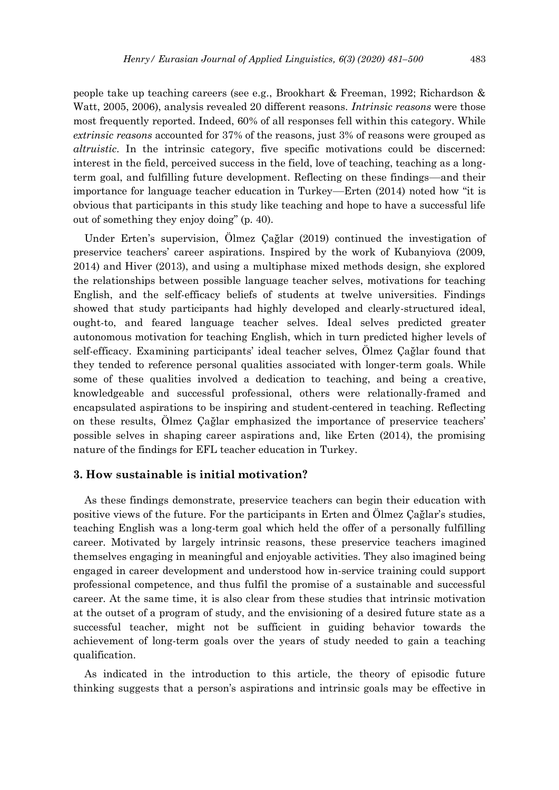people take up teaching careers (see e.g., Brookhart & Freeman, 1992; Richardson & Watt, 2005, 2006), analysis revealed 20 different reasons. *Intrinsic reasons* were those most frequently reported. Indeed, 60% of all responses fell within this category. While *extrinsic reasons* accounted for 37% of the reasons, just 3% of reasons were grouped as *altruistic*. In the intrinsic category, five specific motivations could be discerned: interest in the field, perceived success in the field, love of teaching, teaching as a longterm goal, and fulfilling future development. Reflecting on these findings—and their importance for language teacher education in Turkey—Erten (2014) noted how "it is obvious that participants in this study like teaching and hope to have a successful life out of something they enjoy doing" (p. 40).

Under Erten's supervision, Ölmez Çağlar (2019) continued the investigation of preservice teachers' career aspirations. Inspired by the work of Kubanyiova (2009, 2014) and Hiver (2013), and using a multiphase mixed methods design, she explored the relationships between possible language teacher selves, motivations for teaching English, and the self-efficacy beliefs of students at twelve universities. Findings showed that study participants had highly developed and clearly-structured ideal, ought-to, and feared language teacher selves. Ideal selves predicted greater autonomous motivation for teaching English, which in turn predicted higher levels of self-efficacy. Examining participants' ideal teacher selves, Ölmez Çağlar found that they tended to reference personal qualities associated with longer-term goals. While some of these qualities involved a dedication to teaching, and being a creative, knowledgeable and successful professional, others were relationally-framed and encapsulated aspirations to be inspiring and student-centered in teaching. Reflecting on these results, Ölmez Çağlar emphasized the importance of preservice teachers' possible selves in shaping career aspirations and, like Erten (2014), the promising nature of the findings for EFL teacher education in Turkey.

#### **3. How sustainable is initial motivation?**

As these findings demonstrate, preservice teachers can begin their education with positive views of the future. For the participants in Erten and Ölmez Çağlar's studies, teaching English was a long-term goal which held the offer of a personally fulfilling career. Motivated by largely intrinsic reasons, these preservice teachers imagined themselves engaging in meaningful and enjoyable activities. They also imagined being engaged in career development and understood how in-service training could support professional competence, and thus fulfil the promise of a sustainable and successful career. At the same time, it is also clear from these studies that intrinsic motivation at the outset of a program of study, and the envisioning of a desired future state as a successful teacher, might not be sufficient in guiding behavior towards the achievement of long-term goals over the years of study needed to gain a teaching qualification.

As indicated in the introduction to this article, the theory of episodic future thinking suggests that a person's aspirations and intrinsic goals may be effective in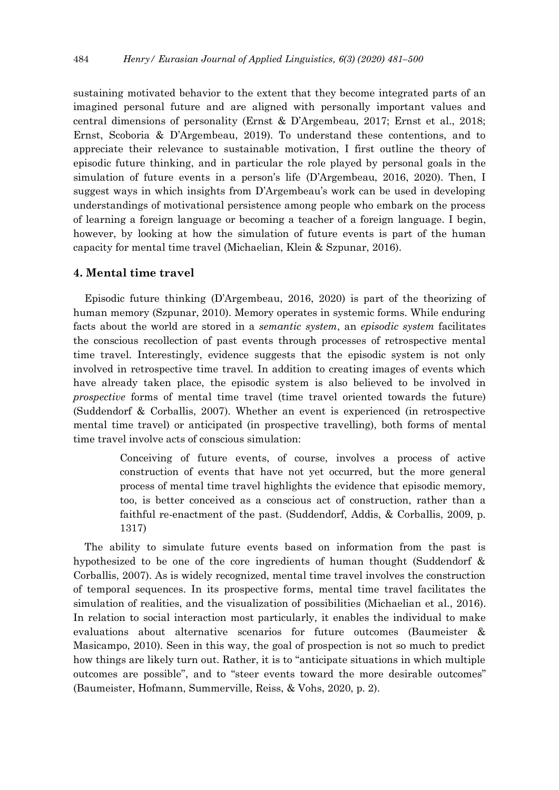sustaining motivated behavior to the extent that they become integrated parts of an imagined personal future and are aligned with personally important values and central dimensions of personality (Ernst & D'Argembeau, 2017; Ernst et al., 2018; Ernst, Scoboria & D'Argembeau, 2019). To understand these contentions, and to appreciate their relevance to sustainable motivation, I first outline the theory of episodic future thinking, and in particular the role played by personal goals in the simulation of future events in a person's life (D'Argembeau, 2016, 2020). Then, I suggest ways in which insights from D'Argembeau's work can be used in developing understandings of motivational persistence among people who embark on the process of learning a foreign language or becoming a teacher of a foreign language. I begin, however, by looking at how the simulation of future events is part of the human capacity for mental time travel (Michaelian, Klein & Szpunar, 2016).

### **4. Mental time travel**

Episodic future thinking (D'Argembeau, 2016, 2020) is part of the theorizing of human memory (Szpunar, 2010). Memory operates in systemic forms. While enduring facts about the world are stored in a *semantic system*, an *episodic system* facilitates the conscious recollection of past events through processes of retrospective mental time travel. Interestingly, evidence suggests that the episodic system is not only involved in retrospective time travel. In addition to creating images of events which have already taken place, the episodic system is also believed to be involved in *prospective* forms of mental time travel (time travel oriented towards the future) (Suddendorf & Corballis, 2007). Whether an event is experienced (in retrospective mental time travel) or anticipated (in prospective travelling), both forms of mental time travel involve acts of conscious simulation:

> Conceiving of future events, of course, involves a process of active construction of events that have not yet occurred, but the more general process of mental time travel highlights the evidence that episodic memory, too, is better conceived as a conscious act of construction, rather than a faithful re-enactment of the past. (Suddendorf, Addis, & Corballis, 2009, p. 1317)

The ability to simulate future events based on information from the past is hypothesized to be one of the core ingredients of human thought (Suddendorf & Corballis, 2007). As is widely recognized, mental time travel involves the construction of temporal sequences. In its prospective forms, mental time travel facilitates the simulation of realities, and the visualization of possibilities (Michaelian et al., 2016). In relation to social interaction most particularly, it enables the individual to make evaluations about alternative scenarios for future outcomes (Baumeister & Masicampo, 2010). Seen in this way, the goal of prospection is not so much to predict how things are likely turn out. Rather, it is to "anticipate situations in which multiple outcomes are possible", and to "steer events toward the more desirable outcomes" (Baumeister, Hofmann, Summerville, Reiss, & Vohs, 2020, p. 2).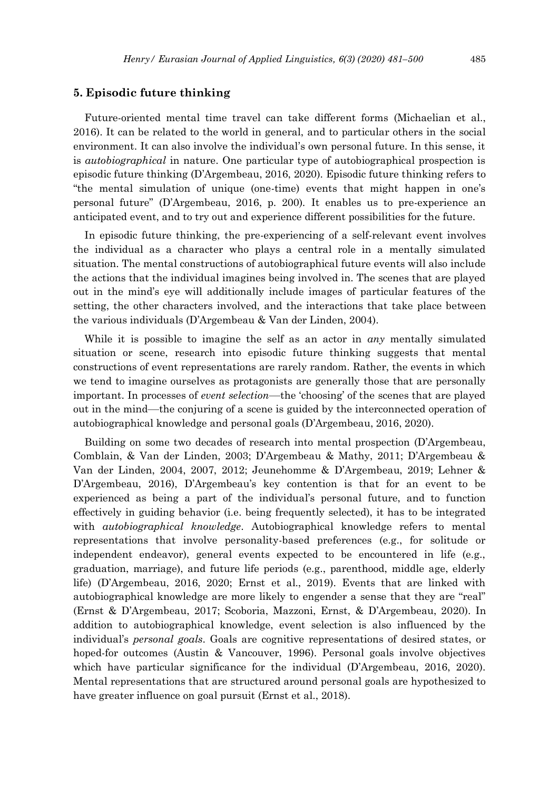#### **5. Episodic future thinking**

Future-oriented mental time travel can take different forms (Michaelian et al., 2016). It can be related to the world in general, and to particular others in the social environment. It can also involve the individual's own personal future. In this sense, it is *autobiographical* in nature. One particular type of autobiographical prospection is episodic future thinking (D'Argembeau, 2016, 2020). Episodic future thinking refers to "the mental simulation of unique (one-time) events that might happen in one's personal future" (D'Argembeau, 2016, p. 200). It enables us to pre-experience an anticipated event, and to try out and experience different possibilities for the future.

In episodic future thinking, the pre-experiencing of a self-relevant event involves the individual as a character who plays a central role in a mentally simulated situation. The mental constructions of autobiographical future events will also include the actions that the individual imagines being involved in. The scenes that are played out in the mind's eye will additionally include images of particular features of the setting, the other characters involved, and the interactions that take place between the various individuals (D'Argembeau & Van der Linden, 2004).

While it is possible to imagine the self as an actor in *any* mentally simulated situation or scene, research into episodic future thinking suggests that mental constructions of event representations are rarely random. Rather, the events in which we tend to imagine ourselves as protagonists are generally those that are personally important. In processes of *event selection*—the 'choosing' of the scenes that are played out in the mind—the conjuring of a scene is guided by the interconnected operation of autobiographical knowledge and personal goals (D'Argembeau, 2016, 2020).

Building on some two decades of research into mental prospection (D'Argembeau, Comblain, & Van der Linden, 2003; D'Argembeau & Mathy, 2011; D'Argembeau & Van der Linden, 2004, 2007, 2012; Jeunehomme & D'Argembeau, 2019; Lehner & D'Argembeau, 2016), D'Argembeau's key contention is that for an event to be experienced as being a part of the individual's personal future, and to function effectively in guiding behavior (i.e. being frequently selected), it has to be integrated with *autobiographical knowledge*. Autobiographical knowledge refers to mental representations that involve personality-based preferences (e.g., for solitude or independent endeavor), general events expected to be encountered in life (e.g., graduation, marriage), and future life periods (e.g., parenthood, middle age, elderly life) (D'Argembeau, 2016, 2020; Ernst et al., 2019). Events that are linked with autobiographical knowledge are more likely to engender a sense that they are "real" (Ernst & D'Argembeau, 2017; Scoboria, Mazzoni, Ernst, & D'Argembeau, 2020). In addition to autobiographical knowledge, event selection is also influenced by the individual's *personal goals*. Goals are cognitive representations of desired states, or hoped-for outcomes (Austin & Vancouver, 1996). Personal goals involve objectives which have particular significance for the individual (D'Argembeau, 2016, 2020). Mental representations that are structured around personal goals are hypothesized to have greater influence on goal pursuit (Ernst et al., 2018).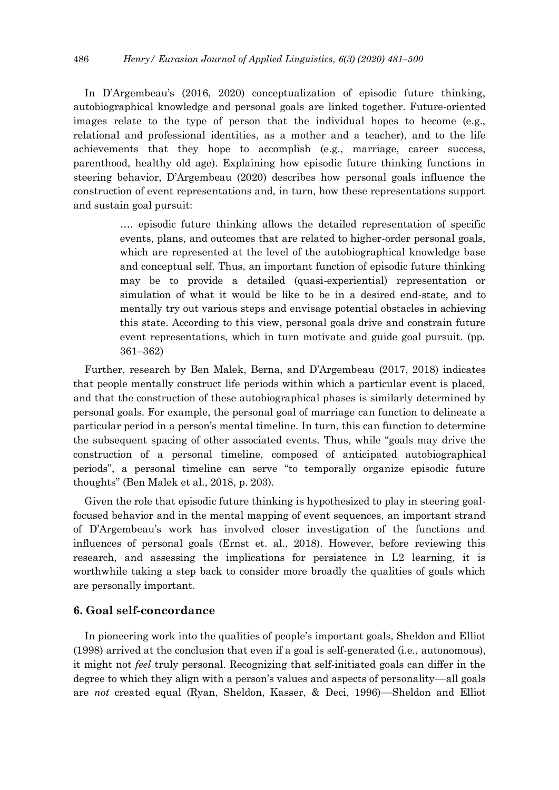In D'Argembeau's (2016, 2020) conceptualization of episodic future thinking, autobiographical knowledge and personal goals are linked together. Future-oriented images relate to the type of person that the individual hopes to become (e.g., relational and professional identities, as a mother and a teacher), and to the life achievements that they hope to accomplish (e.g., marriage, career success, parenthood, healthy old age). Explaining how episodic future thinking functions in steering behavior, D'Argembeau (2020) describes how personal goals influence the construction of event representations and, in turn, how these representations support and sustain goal pursuit:

> …. episodic future thinking allows the detailed representation of specific events, plans, and outcomes that are related to higher-order personal goals, which are represented at the level of the autobiographical knowledge base and conceptual self. Thus, an important function of episodic future thinking may be to provide a detailed (quasi-experiential) representation or simulation of what it would be like to be in a desired end-state, and to mentally try out various steps and envisage potential obstacles in achieving this state. According to this view, personal goals drive and constrain future event representations, which in turn motivate and guide goal pursuit. (pp. 361–362)

Further, research by Ben Malek, Berna, and D'Argembeau (2017, 2018) indicates that people mentally construct life periods within which a particular event is placed, and that the construction of these autobiographical phases is similarly determined by personal goals. For example, the personal goal of marriage can function to delineate a particular period in a person's mental timeline. In turn, this can function to determine the subsequent spacing of other associated events. Thus, while "goals may drive the construction of a personal timeline, composed of anticipated autobiographical periods", a personal timeline can serve "to temporally organize episodic future thoughts" (Ben Malek et al., 2018, p. 203).

Given the role that episodic future thinking is hypothesized to play in steering goalfocused behavior and in the mental mapping of event sequences, an important strand of D'Argembeau's work has involved closer investigation of the functions and influences of personal goals (Ernst et. al., 2018). However, before reviewing this research, and assessing the implications for persistence in L2 learning, it is worthwhile taking a step back to consider more broadly the qualities of goals which are personally important.

# **6. Goal self-concordance**

In pioneering work into the qualities of people's important goals, Sheldon and Elliot (1998) arrived at the conclusion that even if a goal is self-generated (i.e., autonomous), it might not *feel* truly personal. Recognizing that self-initiated goals can differ in the degree to which they align with a person's values and aspects of personality—all goals are *not* created equal (Ryan, Sheldon, Kasser, & Deci, 1996)—Sheldon and Elliot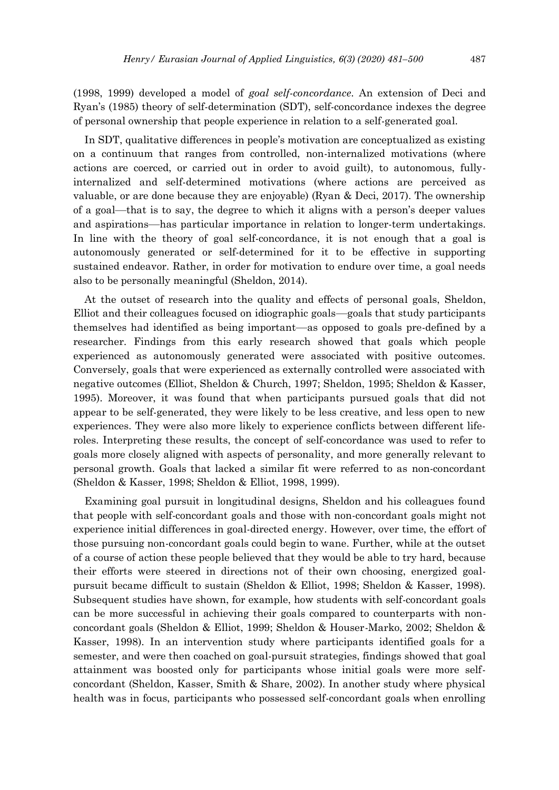(1998, 1999) developed a model of *goal self-concordance*. An extension of Deci and Ryan's (1985) theory of self-determination (SDT), self-concordance indexes the degree of personal ownership that people experience in relation to a self-generated goal.

In SDT, qualitative differences in people's motivation are conceptualized as existing on a continuum that ranges from controlled, non-internalized motivations (where actions are coerced, or carried out in order to avoid guilt), to autonomous, fullyinternalized and self-determined motivations (where actions are perceived as valuable, or are done because they are enjoyable) (Ryan & Deci, 2017). The ownership of a goal—that is to say, the degree to which it aligns with a person's deeper values and aspirations—has particular importance in relation to longer-term undertakings. In line with the theory of goal self-concordance, it is not enough that a goal is autonomously generated or self-determined for it to be effective in supporting sustained endeavor. Rather, in order for motivation to endure over time, a goal needs also to be personally meaningful (Sheldon, 2014).

At the outset of research into the quality and effects of personal goals, Sheldon, Elliot and their colleagues focused on idiographic goals—goals that study participants themselves had identified as being important—as opposed to goals pre-defined by a researcher. Findings from this early research showed that goals which people experienced as autonomously generated were associated with positive outcomes. Conversely, goals that were experienced as externally controlled were associated with negative outcomes (Elliot, Sheldon & Church, 1997; Sheldon, 1995; Sheldon & Kasser, 1995). Moreover, it was found that when participants pursued goals that did not appear to be self-generated, they were likely to be less creative, and less open to new experiences. They were also more likely to experience conflicts between different liferoles. Interpreting these results, the concept of self-concordance was used to refer to goals more closely aligned with aspects of personality, and more generally relevant to personal growth. Goals that lacked a similar fit were referred to as non-concordant (Sheldon & Kasser, 1998; Sheldon & Elliot, 1998, 1999).

Examining goal pursuit in longitudinal designs, Sheldon and his colleagues found that people with self-concordant goals and those with non-concordant goals might not experience initial differences in goal-directed energy. However, over time, the effort of those pursuing non-concordant goals could begin to wane. Further, while at the outset of a course of action these people believed that they would be able to try hard, because their efforts were steered in directions not of their own choosing, energized goalpursuit became difficult to sustain (Sheldon & Elliot, 1998; Sheldon & Kasser, 1998). Subsequent studies have shown, for example, how students with self-concordant goals can be more successful in achieving their goals compared to counterparts with nonconcordant goals (Sheldon & Elliot, 1999; Sheldon & Houser-Marko, 2002; Sheldon & Kasser, 1998). In an intervention study where participants identified goals for a semester, and were then coached on goal-pursuit strategies, findings showed that goal attainment was boosted only for participants whose initial goals were more selfconcordant (Sheldon, Kasser, Smith & Share, 2002). In another study where physical health was in focus, participants who possessed self-concordant goals when enrolling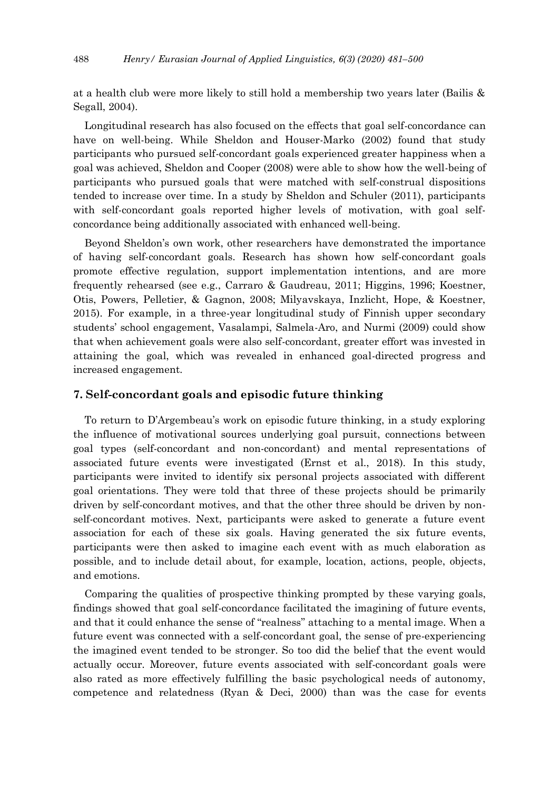at a health club were more likely to still hold a membership two years later (Bailis & Segall, 2004).

Longitudinal research has also focused on the effects that goal self-concordance can have on well-being. While Sheldon and Houser-Marko (2002) found that study participants who pursued self-concordant goals experienced greater happiness when a goal was achieved, Sheldon and Cooper (2008) were able to show how the well-being of participants who pursued goals that were matched with self-construal dispositions tended to increase over time. In a study by Sheldon and Schuler (2011), participants with self-concordant goals reported higher levels of motivation, with goal selfconcordance being additionally associated with enhanced well-being.

Beyond Sheldon's own work, other researchers have demonstrated the importance of having self-concordant goals. Research has shown how self-concordant goals promote effective regulation, support implementation intentions, and are more frequently rehearsed (see e.g., Carraro & Gaudreau, 2011; Higgins, 1996; Koestner, Otis, Powers, Pelletier, & Gagnon, 2008; Milyavskaya, Inzlicht, Hope, & Koestner, 2015). For example, in a three-year longitudinal study of Finnish upper secondary students' school engagement, Vasalampi, Salmela-Aro, and Nurmi (2009) could show that when achievement goals were also self-concordant, greater effort was invested in attaining the goal, which was revealed in enhanced goal-directed progress and increased engagement.

#### **7. Self-concordant goals and episodic future thinking**

To return to D'Argembeau's work on episodic future thinking, in a study exploring the influence of motivational sources underlying goal pursuit, connections between goal types (self-concordant and non-concordant) and mental representations of associated future events were investigated (Ernst et al., 2018). In this study, participants were invited to identify six personal projects associated with different goal orientations. They were told that three of these projects should be primarily driven by self-concordant motives, and that the other three should be driven by nonself-concordant motives. Next, participants were asked to generate a future event association for each of these six goals. Having generated the six future events, participants were then asked to imagine each event with as much elaboration as possible, and to include detail about, for example, location, actions, people, objects, and emotions.

Comparing the qualities of prospective thinking prompted by these varying goals, findings showed that goal self-concordance facilitated the imagining of future events, and that it could enhance the sense of "realness" attaching to a mental image. When a future event was connected with a self-concordant goal, the sense of pre-experiencing the imagined event tended to be stronger. So too did the belief that the event would actually occur. Moreover, future events associated with self-concordant goals were also rated as more effectively fulfilling the basic psychological needs of autonomy, competence and relatedness (Ryan & Deci, 2000) than was the case for events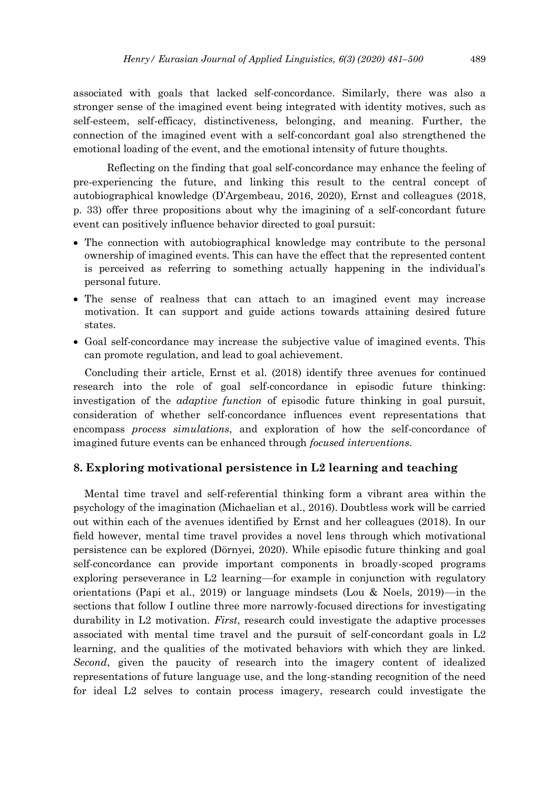associated with goals that lacked self-concordance. Similarly, there was also a stronger sense of the imagined event being integrated with identity motives, such as self-esteem, self-efficacy, distinctiveness, belonging, and meaning. Further, the connection of the imagined event with a self-concordant goal also strengthened the emotional loading of the event, and the emotional intensity of future thoughts.

Reflecting on the finding that goal self-concordance may enhance the feeling of pre-experiencing the future, and linking this result to the central concept of autobiographical knowledge (D'Argembeau, 2016, 2020), Ernst and colleagues (2018, p. 33) offer three propositions about why the imagining of a self-concordant future event can positively influence behavior directed to goal pursuit:

- The connection with autobiographical knowledge may contribute to the personal ownership of imagined events. This can have the effect that the represented content is perceived as referring to something actually happening in the individual's personal future.
- The sense of realness that can attach to an imagined event may increase motivation. It can support and guide actions towards attaining desired future states.
- Goal self-concordance may increase the subjective value of imagined events. This can promote regulation, and lead to goal achievement.

Concluding their article, Ernst et al. (2018) identify three avenues for continued research into the role of goal self-concordance in episodic future thinking: investigation of the *adaptive function* of episodic future thinking in goal pursuit, consideration of whether self-concordance influences event representations that encompass *process simulations*, and exploration of how the self-concordance of imagined future events can be enhanced through *focused interventions*.

#### **8. Exploring motivational persistence in L2 learning and teaching**

Mental time travel and self-referential thinking form a vibrant area within the psychology of the imagination (Michaelian et al., 2016). Doubtless work will be carried out within each of the avenues identified by Ernst and her colleagues (2018). In our field however, mental time travel provides a novel lens through which motivational persistence can be explored (Dörnyei, 2020). While episodic future thinking and goal self-concordance can provide important components in broadly-scoped programs exploring perseverance in L2 learning—for example in conjunction with regulatory orientations (Papi et al., 2019) or language mindsets (Lou & Noels, 2019)—in the sections that follow I outline three more narrowly-focused directions for investigating durability in L2 motivation. *First*, research could investigate the adaptive processes associated with mental time travel and the pursuit of self-concordant goals in L2 learning, and the qualities of the motivated behaviors with which they are linked. *Second*, given the paucity of research into the imagery content of idealized representations of future language use, and the long-standing recognition of the need for ideal L2 selves to contain process imagery, research could investigate the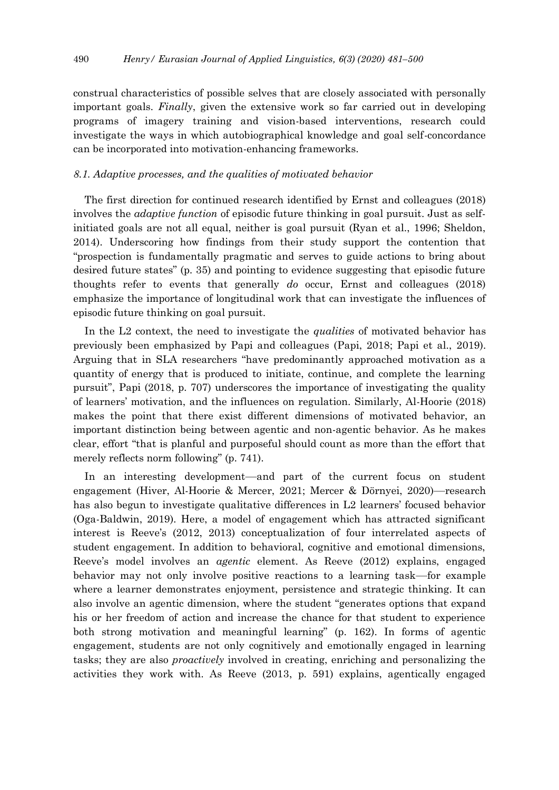construal characteristics of possible selves that are closely associated with personally important goals. *Finally*, given the extensive work so far carried out in developing programs of imagery training and vision-based interventions, research could investigate the ways in which autobiographical knowledge and goal self-concordance can be incorporated into motivation-enhancing frameworks.

#### *8.1. Adaptive processes, and the qualities of motivated behavior*

The first direction for continued research identified by Ernst and colleagues (2018) involves the *adaptive function* of episodic future thinking in goal pursuit. Just as selfinitiated goals are not all equal, neither is goal pursuit (Ryan et al., 1996; Sheldon, 2014). Underscoring how findings from their study support the contention that "prospection is fundamentally pragmatic and serves to guide actions to bring about desired future states" (p. 35) and pointing to evidence suggesting that episodic future thoughts refer to events that generally *do* occur, Ernst and colleagues (2018) emphasize the importance of longitudinal work that can investigate the influences of episodic future thinking on goal pursuit.

In the L2 context, the need to investigate the *qualities* of motivated behavior has previously been emphasized by Papi and colleagues (Papi, 2018; Papi et al., 2019). Arguing that in SLA researchers "have predominantly approached motivation as a quantity of energy that is produced to initiate, continue, and complete the learning pursuit", Papi (2018, p. 707) underscores the importance of investigating the quality of learners' motivation, and the influences on regulation. Similarly, Al-Hoorie (2018) makes the point that there exist different dimensions of motivated behavior, an important distinction being between agentic and non-agentic behavior. As he makes clear, effort "that is planful and purposeful should count as more than the effort that merely reflects norm following" (p. 741).

In an interesting development—and part of the current focus on student engagement (Hiver, Al-Hoorie & Mercer, 2021; Mercer & Dörnyei, 2020)—research has also begun to investigate qualitative differences in L2 learners' focused behavior (Oga-Baldwin, 2019). Here, a model of engagement which has attracted significant interest is Reeve's (2012, 2013) conceptualization of four interrelated aspects of student engagement. In addition to behavioral, cognitive and emotional dimensions, Reeve's model involves an *agentic* element. As Reeve (2012) explains, engaged behavior may not only involve positive reactions to a learning task—for example where a learner demonstrates enjoyment, persistence and strategic thinking. It can also involve an agentic dimension, where the student "generates options that expand his or her freedom of action and increase the chance for that student to experience both strong motivation and meaningful learning" (p. 162). In forms of agentic engagement, students are not only cognitively and emotionally engaged in learning tasks; they are also *proactively* involved in creating, enriching and personalizing the activities they work with. As Reeve (2013, p. 591) explains, agentically engaged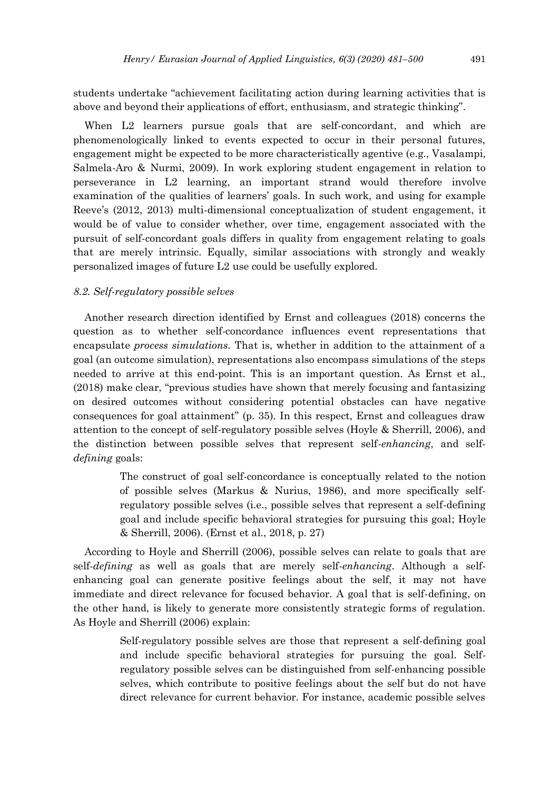students undertake "achievement facilitating action during learning activities that is above and beyond their applications of effort, enthusiasm, and strategic thinking".

When L2 learners pursue goals that are self-concordant, and which are phenomenologically linked to events expected to occur in their personal futures, engagement might be expected to be more characteristically agentive (e.g., Vasalampi, Salmela-Aro & Nurmi, 2009). In work exploring student engagement in relation to perseverance in L2 learning, an important strand would therefore involve examination of the qualities of learners' goals. In such work, and using for example Reeve's (2012, 2013) multi-dimensional conceptualization of student engagement, it would be of value to consider whether, over time, engagement associated with the pursuit of self-concordant goals differs in quality from engagement relating to goals that are merely intrinsic. Equally, similar associations with strongly and weakly personalized images of future L2 use could be usefully explored.

#### *8.2. Self-regulatory possible selves*

Another research direction identified by Ernst and colleagues (2018) concerns the question as to whether self-concordance influences event representations that encapsulate *process simulations*. That is, whether in addition to the attainment of a goal (an outcome simulation), representations also encompass simulations of the steps needed to arrive at this end-point. This is an important question. As Ernst et al., (2018) make clear, "previous studies have shown that merely focusing and fantasizing on desired outcomes without considering potential obstacles can have negative consequences for goal attainment" (p. 35). In this respect, Ernst and colleagues draw attention to the concept of self-regulatory possible selves (Hoyle & Sherrill, 2006), and the distinction between possible selves that represent self-*enhancing*, and self*defining* goals:

> The construct of goal self-concordance is conceptually related to the notion of possible selves (Markus & Nurius, 1986), and more specifically selfregulatory possible selves (i.e., possible selves that represent a self-defining goal and include specific behavioral strategies for pursuing this goal; Hoyle & Sherrill, 2006). (Ernst et al., 2018, p. 27)

According to Hoyle and Sherrill (2006), possible selves can relate to goals that are self-*defining* as well as goals that are merely self-*enhancing*. Although a selfenhancing goal can generate positive feelings about the self, it may not have immediate and direct relevance for focused behavior. A goal that is self-defining, on the other hand, is likely to generate more consistently strategic forms of regulation. As Hoyle and Sherrill (2006) explain:

> Self-regulatory possible selves are those that represent a self-defining goal and include specific behavioral strategies for pursuing the goal. Selfregulatory possible selves can be distinguished from self-enhancing possible selves, which contribute to positive feelings about the self but do not have direct relevance for current behavior. For instance, academic possible selves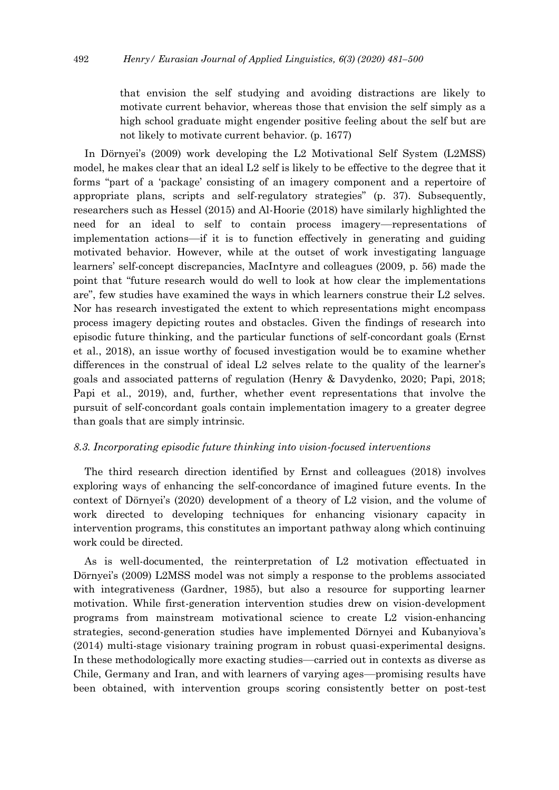that envision the self studying and avoiding distractions are likely to motivate current behavior, whereas those that envision the self simply as a high school graduate might engender positive feeling about the self but are not likely to motivate current behavior. (p. 1677)

In Dörnyei's (2009) work developing the L2 Motivational Self System (L2MSS) model, he makes clear that an ideal L2 self is likely to be effective to the degree that it forms "part of a 'package' consisting of an imagery component and a repertoire of appropriate plans, scripts and self-regulatory strategies" (p. 37). Subsequently, researchers such as Hessel (2015) and Al-Hoorie (2018) have similarly highlighted the need for an ideal to self to contain process imagery—representations of implementation actions—if it is to function effectively in generating and guiding motivated behavior. However, while at the outset of work investigating language learners' self-concept discrepancies, MacIntyre and colleagues (2009, p. 56) made the point that "future research would do well to look at how clear the implementations are", few studies have examined the ways in which learners construe their L2 selves. Nor has research investigated the extent to which representations might encompass process imagery depicting routes and obstacles. Given the findings of research into episodic future thinking, and the particular functions of self-concordant goals (Ernst et al., 2018), an issue worthy of focused investigation would be to examine whether differences in the construal of ideal L2 selves relate to the quality of the learner's goals and associated patterns of regulation (Henry & Davydenko, 2020; Papi, 2018; Papi et al., 2019), and, further, whether event representations that involve the pursuit of self-concordant goals contain implementation imagery to a greater degree than goals that are simply intrinsic.

#### *8.3. Incorporating episodic future thinking into vision-focused interventions*

The third research direction identified by Ernst and colleagues (2018) involves exploring ways of enhancing the self-concordance of imagined future events. In the context of Dörnyei's (2020) development of a theory of L2 vision, and the volume of work directed to developing techniques for enhancing visionary capacity in intervention programs, this constitutes an important pathway along which continuing work could be directed.

As is well-documented, the reinterpretation of L2 motivation effectuated in Dörnyei's (2009) L2MSS model was not simply a response to the problems associated with integrativeness (Gardner, 1985), but also a resource for supporting learner motivation. While first-generation intervention studies drew on vision-development programs from mainstream motivational science to create L2 vision-enhancing strategies, second-generation studies have implemented Dörnyei and Kubanyiova's (2014) multi-stage visionary training program in robust quasi-experimental designs. In these methodologically more exacting studies—carried out in contexts as diverse as Chile, Germany and Iran, and with learners of varying ages—promising results have been obtained, with intervention groups scoring consistently better on post-test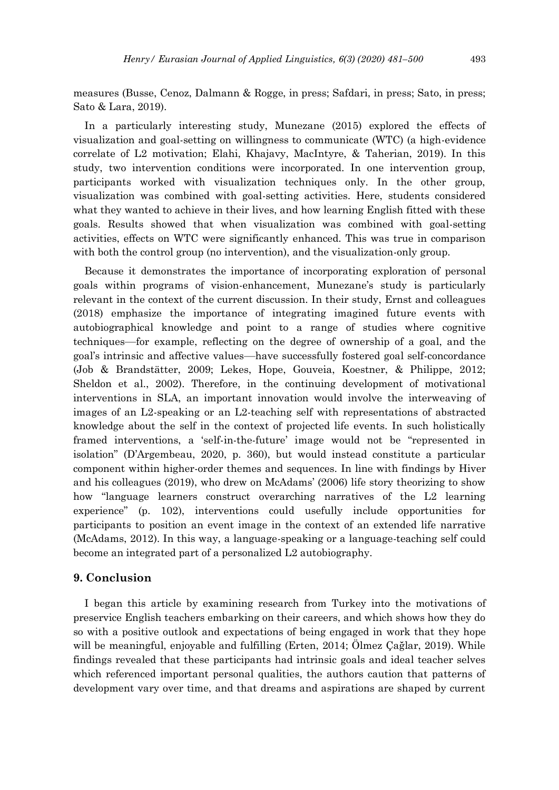measures (Busse, Cenoz, Dalmann & Rogge, in press; Safdari, in press; Sato, in press; Sato & Lara, 2019).

In a particularly interesting study, Munezane (2015) explored the effects of visualization and goal-setting on willingness to communicate (WTC) (a high-evidence correlate of L2 motivation; Elahi, Khajavy, MacIntyre, & Taherian, 2019). In this study, two intervention conditions were incorporated. In one intervention group, participants worked with visualization techniques only. In the other group, visualization was combined with goal-setting activities. Here, students considered what they wanted to achieve in their lives, and how learning English fitted with these goals. Results showed that when visualization was combined with goal-setting activities, effects on WTC were significantly enhanced. This was true in comparison with both the control group (no intervention), and the visualization-only group.

Because it demonstrates the importance of incorporating exploration of personal goals within programs of vision-enhancement, Munezane's study is particularly relevant in the context of the current discussion. In their study, Ernst and colleagues (2018) emphasize the importance of integrating imagined future events with autobiographical knowledge and point to a range of studies where cognitive techniques—for example, reflecting on the degree of ownership of a goal, and the goal's intrinsic and affective values—have successfully fostered goal self-concordance (Job & Brandstätter, 2009; Lekes, Hope, Gouveia, Koestner, & Philippe, 2012; Sheldon et al., 2002). Therefore, in the continuing development of motivational interventions in SLA, an important innovation would involve the interweaving of images of an L2-speaking or an L2-teaching self with representations of abstracted knowledge about the self in the context of projected life events. In such holistically framed interventions, a 'self-in-the-future' image would not be "represented in isolation" (D'Argembeau, 2020, p. 360), but would instead constitute a particular component within higher-order themes and sequences. In line with findings by Hiver and his colleagues (2019), who drew on McAdams' (2006) life story theorizing to show how "language learners construct overarching narratives of the L2 learning experience" (p. 102), interventions could usefully include opportunities for participants to position an event image in the context of an extended life narrative (McAdams, 2012). In this way, a language-speaking or a language-teaching self could become an integrated part of a personalized L2 autobiography.

#### **9. Conclusion**

I began this article by examining research from Turkey into the motivations of preservice English teachers embarking on their careers, and which shows how they do so with a positive outlook and expectations of being engaged in work that they hope will be meaningful, enjoyable and fulfilling (Erten, 2014; Ölmez Çağlar, 2019). While findings revealed that these participants had intrinsic goals and ideal teacher selves which referenced important personal qualities, the authors caution that patterns of development vary over time, and that dreams and aspirations are shaped by current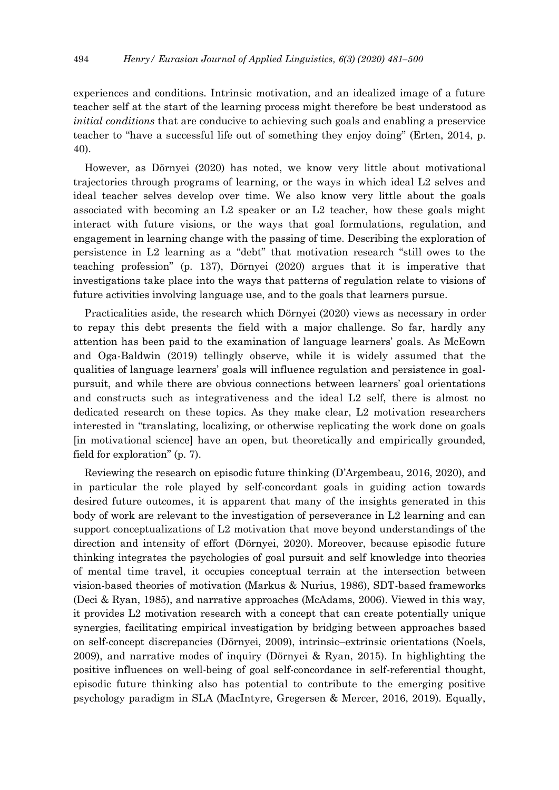experiences and conditions. Intrinsic motivation, and an idealized image of a future teacher self at the start of the learning process might therefore be best understood as *initial conditions* that are conducive to achieving such goals and enabling a preservice teacher to "have a successful life out of something they enjoy doing" (Erten, 2014, p. 40).

However, as Dörnyei (2020) has noted, we know very little about motivational trajectories through programs of learning, or the ways in which ideal L2 selves and ideal teacher selves develop over time. We also know very little about the goals associated with becoming an L2 speaker or an L2 teacher, how these goals might interact with future visions, or the ways that goal formulations, regulation, and engagement in learning change with the passing of time. Describing the exploration of persistence in L2 learning as a "debt" that motivation research "still owes to the teaching profession" (p. 137), Dörnyei (2020) argues that it is imperative that investigations take place into the ways that patterns of regulation relate to visions of future activities involving language use, and to the goals that learners pursue.

Practicalities aside, the research which Dörnyei (2020) views as necessary in order to repay this debt presents the field with a major challenge. So far, hardly any attention has been paid to the examination of language learners' goals. As McEown and Oga-Baldwin (2019) tellingly observe, while it is widely assumed that the qualities of language learners' goals will influence regulation and persistence in goalpursuit, and while there are obvious connections between learners' goal orientations and constructs such as integrativeness and the ideal L2 self, there is almost no dedicated research on these topics. As they make clear, L2 motivation researchers interested in "translating, localizing, or otherwise replicating the work done on goals [in motivational science] have an open, but theoretically and empirically grounded, field for exploration" (p. 7).

Reviewing the research on episodic future thinking (D'Argembeau, 2016, 2020), and in particular the role played by self-concordant goals in guiding action towards desired future outcomes, it is apparent that many of the insights generated in this body of work are relevant to the investigation of perseverance in L2 learning and can support conceptualizations of L2 motivation that move beyond understandings of the direction and intensity of effort (Dörnyei, 2020). Moreover, because episodic future thinking integrates the psychologies of goal pursuit and self knowledge into theories of mental time travel, it occupies conceptual terrain at the intersection between vision-based theories of motivation (Markus & Nurius, 1986), SDT-based frameworks (Deci & Ryan, 1985), and narrative approaches (McAdams, 2006). Viewed in this way, it provides L2 motivation research with a concept that can create potentially unique synergies, facilitating empirical investigation by bridging between approaches based on self-concept discrepancies (Dörnyei, 2009), intrinsic–extrinsic orientations (Noels, 2009), and narrative modes of inquiry (Dörnyei & Ryan, 2015). In highlighting the positive influences on well-being of goal self-concordance in self-referential thought, episodic future thinking also has potential to contribute to the emerging positive psychology paradigm in SLA (MacIntyre, Gregersen & Mercer, 2016, 2019). Equally,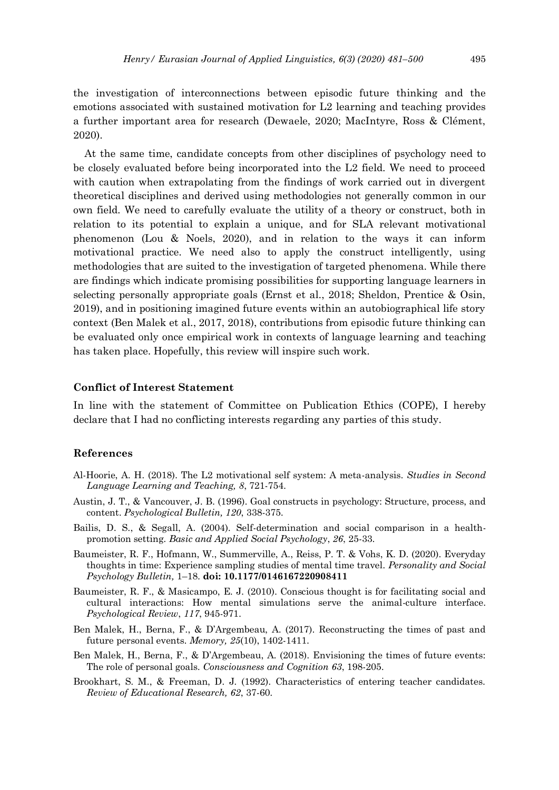the investigation of interconnections between episodic future thinking and the emotions associated with sustained motivation for L2 learning and teaching provides a further important area for research (Dewaele, 2020; MacIntyre, Ross & Clément, 2020).

At the same time, candidate concepts from other disciplines of psychology need to be closely evaluated before being incorporated into the L2 field. We need to proceed with caution when extrapolating from the findings of work carried out in divergent theoretical disciplines and derived using methodologies not generally common in our own field. We need to carefully evaluate the utility of a theory or construct, both in relation to its potential to explain a unique, and for SLA relevant motivational phenomenon (Lou & Noels, 2020), and in relation to the ways it can inform motivational practice. We need also to apply the construct intelligently, using methodologies that are suited to the investigation of targeted phenomena. While there are findings which indicate promising possibilities for supporting language learners in selecting personally appropriate goals (Ernst et al., 2018; Sheldon, Prentice & Osin, 2019), and in positioning imagined future events within an autobiographical life story context (Ben Malek et al., 2017, 2018), contributions from episodic future thinking can be evaluated only once empirical work in contexts of language learning and teaching has taken place. Hopefully, this review will inspire such work.

### **Conflict of Interest Statement**

In line with the statement of Committee on Publication Ethics (COPE), I hereby declare that I had no conflicting interests regarding any parties of this study.

#### **References**

- Al-Hoorie, A. H. (2018). The L2 motivational self system: A meta-analysis. *Studies in Second Language Learning and Teaching, 8*, 721-754.
- Austin, J. T., & Vancouver, J. B. (1996). Goal constructs in psychology: Structure, process, and content. *Psychological Bulletin, 120*, 338-375.
- Bailis, D. S., & Segall, A. (2004). Self-determination and social comparison in a healthpromotion setting. *Basic and Applied Social Psychology*, *26*, 25-33.
- Baumeister, R. F., Hofmann, W., Summerville, A., Reiss, P. T. & Vohs, K. D. (2020). Everyday thoughts in time: Experience sampling studies of mental time travel. *Personality and Social Psychology Bulletin,* 1–18. **doi: 10.1177/0146167220908411**
- Baumeister, R. F., & Masicampo, E. J. (2010). Conscious thought is for facilitating social and cultural interactions: How mental simulations serve the animal-culture interface. *Psychological Review*, *117*, 945-971.
- Ben Malek, H., Berna, F., & D'Argembeau, A. (2017). Reconstructing the times of past and future personal events. *Memory, 25*(10), 1402-1411.
- Ben Malek, H., Berna, F., & D'Argembeau, A. (2018). Envisioning the times of future events: The role of personal goals. *Consciousness and Cognition 63*, 198-205.
- Brookhart, S. M., & Freeman, D. J. (1992). Characteristics of entering teacher candidates. *Review of Educational Research, 62*, 37-60.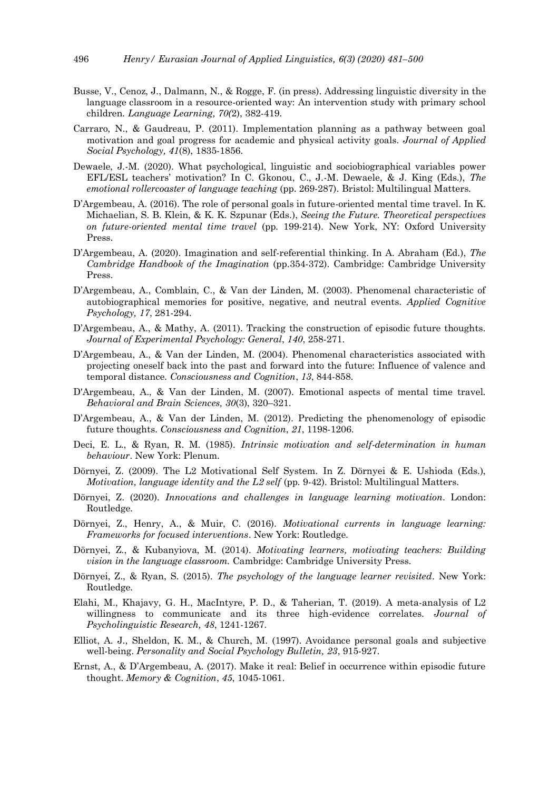- Busse, V., Cenoz, J., Dalmann, N., & Rogge, F. (in press). Addressing linguistic diversity in the language classroom in a resource-oriented way: An intervention study with primary school children. *Language Learning, 70(*2), 382-419.
- Carraro, N., & Gaudreau, P. (2011). Implementation planning as a pathway between goal motivation and goal progress for academic and physical activity goals. *Journal of Applied Social Psychology, 41*(8), 1835-1856.
- Dewaele, J.-M. (2020). What psychological, linguistic and sociobiographical variables power EFL/ESL teachers' motivation? In C. Gkonou, C., J.-M. Dewaele, & J. King (Eds.), *The emotional rollercoaster of language teaching* (pp. 269-287). Bristol: Multilingual Matters.
- D'Argembeau, A. (2016). The role of personal goals in future-oriented mental time travel. In K. Michaelian, S. B. Klein, & K. K. Szpunar (Eds.), *Seeing the Future. Theoretical perspectives on future-oriented mental time travel* (pp. 199-214). New York, NY: Oxford University Press.
- D'Argembeau, A. (2020). Imagination and self-referential thinking. In A. Abraham (Ed.), *The Cambridge Handbook of the Imagination* (pp.354-372). Cambridge: Cambridge University Press.
- D'Argembeau, A., Comblain, C., & Van der Linden, M. (2003). Phenomenal characteristic of autobiographical memories for positive, negative, and neutral events. *Applied Cognitive Psychology, 17*, 281-294.
- D'Argembeau, A., & Mathy, A. (2011). Tracking the construction of episodic future thoughts. *Journal of Experimental Psychology: General*, *140*, 258-271.
- D'Argembeau, A., & Van der Linden, M. (2004). Phenomenal characteristics associated with projecting oneself back into the past and forward into the future: Influence of valence and temporal distance. *Consciousness and Cognition*, *13*, 844-858.
- D'Argembeau, A., & Van der Linden, M. (2007). Emotional aspects of mental time travel. *Behavioral and Brain Sciences, 30*(3), 320–321.
- D'Argembeau, A., & Van der Linden, M. (2012). Predicting the phenomenology of episodic future thoughts. *Consciousness and Cognition*, *21*, 1198-1206.
- Deci, E. L., & Ryan, R. M. (1985). *Intrinsic motivation and self-determination in human behaviour*. New York: Plenum.
- Dörnyei, Z. (2009). The L2 Motivational Self System. In Z. Dörnyei & E. Ushioda (Eds.), *Motivation, language identity and the L2 self* (pp. 9-42). Bristol: Multilingual Matters.
- Dörnyei, Z. (2020). *Innovations and challenges in language learning motivation*. London: Routledge.
- Dörnyei, Z., Henry, A., & Muir, C. (2016). *Motivational currents in language learning: Frameworks for focused interventions*. New York: Routledge.
- Dörnyei, Z., & Kubanyiova, M. (2014). *Motivating learners, motivating teachers: Building vision in the language classroom.* Cambridge: Cambridge University Press.
- Dörnyei, Z., & Ryan, S. (2015). *The psychology of the language learner revisited*. New York: Routledge.
- Elahi, M., Khajavy, G. H., MacIntyre, P. D., & Taherian, T. (2019). A meta-analysis of L2 willingness to communicate and its three high-evidence correlates. *Journal of Psycholinguistic Research, 48*, 1241-1267.
- Elliot, A. J., Sheldon, K. M., & Church, M. (1997). Avoidance personal goals and subjective well-being. *Personality and Social Psychology Bulletin, 23*, 915-927.
- Ernst, A., & D'Argembeau, A. (2017). Make it real: Belief in occurrence within episodic future thought. *Memory & Cognition*, *45*, 1045-1061.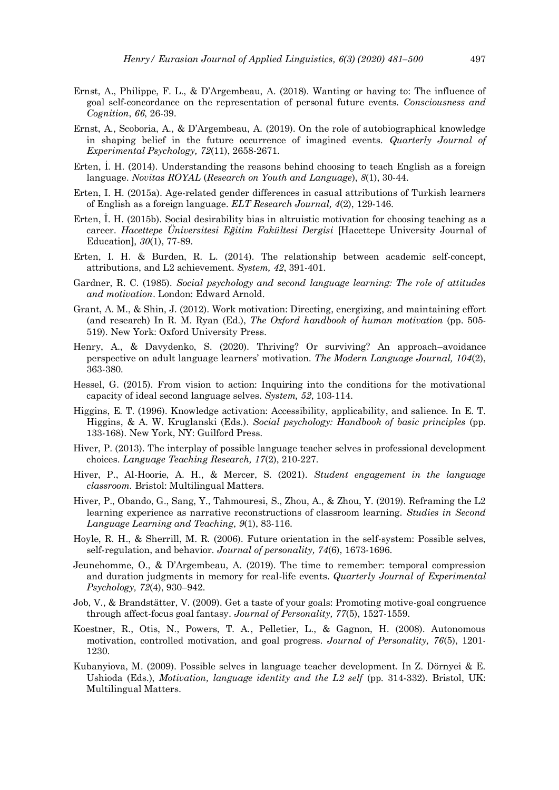- Ernst, A., Philippe, F. L., & D'Argembeau, A. (2018). Wanting or having to: The influence of goal self-concordance on the representation of personal future events. *Consciousness and Cognition*, *66*, 26-39.
- Ernst, A., Scoboria, A., & D'Argembeau, A. (2019). On the role of autobiographical knowledge in shaping belief in the future occurrence of imagined events. *Quarterly Journal of Experimental Psychology, 72*(11), 2658-2671.
- Erten, İ. H. (2014). Understanding the reasons behind choosing to teach English as a foreign language. *Novitas ROYAL* (*Research on Youth and Language*), *8*(1), 30-44.
- Erten, I. H. (2015a). Age-related gender differences in casual attributions of Turkish learners of English as a foreign language. *ELT Research Journal, 4*(2), 129-146.
- Erten, İ. H. (2015b). Social desirability bias in altruistic motivation for choosing teaching as a career. *Hacettepe Üniversitesi Eğitim Fakültesi Dergisi* [Hacettepe University Journal of Education], *30*(1), 77-89.
- Erten, I. H. & Burden, R. L. (2014). The relationship between academic self-concept, attributions, and L2 achievement. *System, 42*, 391-401.
- Gardner, R. C. (1985). *Social psychology and second language learning: The role of attitudes and motivation*. London: Edward Arnold.
- Grant, A. M., & Shin, J. (2012). Work motivation: Directing, energizing, and maintaining effort (and research) In R. M. Ryan (Ed.), *The Oxford handbook of human motivation* (pp. 505- 519). New York: Oxford University Press.
- Henry, A., & Davydenko, S. (2020). Thriving? Or surviving? An approach–avoidance perspective on adult language learners' motivation. *The Modern Language Journal, 104*(2), 363-380*.*
- Hessel, G. (2015). From vision to action: Inquiring into the conditions for the motivational capacity of ideal second language selves. *System, 52*, 103-114.
- Higgins, E. T. (1996). Knowledge activation: Accessibility, applicability, and salience. In E. T. Higgins, & A. W. Kruglanski (Eds.). *Social psychology: Handbook of basic principles* (pp. 133-168). New York, NY: Guilford Press.
- Hiver, P. (2013). The interplay of possible language teacher selves in professional development choices. *Language Teaching Research, 17*(2), 210-227.
- Hiver, P., Al-Hoorie, A. H., & Mercer, S. (2021). *Student engagement in the language classroom.* Bristol: Multilingual Matters.
- Hiver, P., Obando, G., Sang, Y., Tahmouresi, S., Zhou, A., & Zhou, Y. (2019). Reframing the L2 learning experience as narrative reconstructions of classroom learning. *Studies in Second Language Learning and Teaching*, *9*(1), 83-116.
- Hoyle, R. H., & Sherrill, M. R. (2006). Future orientation in the self-system: Possible selves, self-regulation, and behavior. *Journal of personality, 74*(6), 1673-1696.
- Jeunehomme, O., & D'Argembeau, A. (2019). The time to remember: temporal compression and duration judgments in memory for real-life events. *Quarterly Journal of Experimental Psychology, 72*(4), 930–942.
- Job, V., & Brandstätter, V. (2009). Get a taste of your goals: Promoting motive-goal congruence through affect-focus goal fantasy. *Journal of Personality, 77*(5), 1527-1559.
- Koestner, R., Otis, N., Powers, T. A., Pelletier, L., & Gagnon, H. (2008). Autonomous motivation, controlled motivation, and goal progress. *Journal of Personality, 76*(5), 1201- 1230.
- Kubanyiova, M. (2009). Possible selves in language teacher development. In Z. Dörnyei & E. Ushioda (Eds.), *Motivation, language identity and the L2 self* (pp. 314-332). Bristol, UK: Multilingual Matters.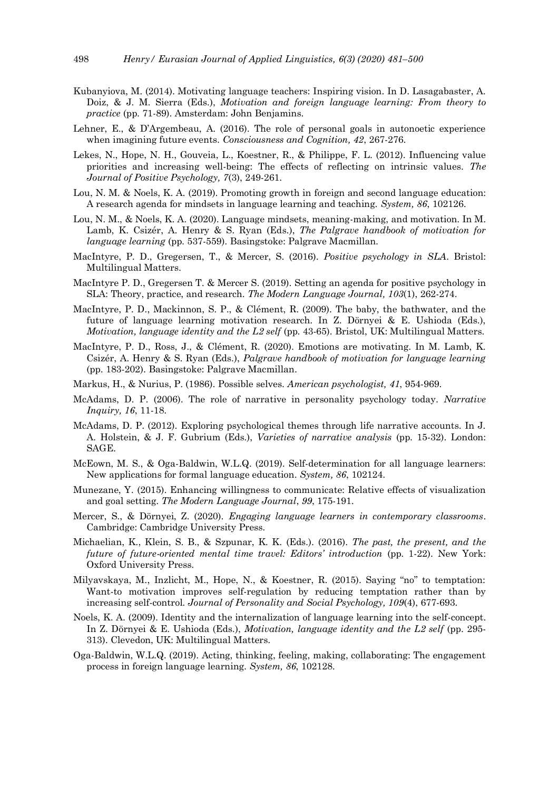- Kubanyiova, M. (2014). Motivating language teachers: Inspiring vision. In D. Lasagabaster, A. Doiz, & J. M. Sierra (Eds.), *Motivation and foreign language learning: From theory to practice* (pp. 71-89). Amsterdam: John Benjamins.
- Lehner, E., & D'Argembeau, A. (2016). The role of personal goals in autonoetic experience when imagining future events. *Consciousness and Cognition, 42*, 267-276.
- Lekes, N., Hope, N. H., Gouveia, L., Koestner, R., & Philippe, F. L. (2012). Influencing value priorities and increasing well-being: The effects of reflecting on intrinsic values. *The Journal of Positive Psychology, 7*(3), 249-261.
- Lou, N. M. & Noels, K. A. (2019). Promoting growth in foreign and second language education: A research agenda for mindsets in language learning and teaching. *System, 86*, 102126.
- Lou, N. M., & Noels, K. A. (2020). Language mindsets, meaning-making, and motivation. In M. Lamb, K. Csizér, A. Henry & S. Ryan (Eds.), *The Palgrave handbook of motivation for language learning* (pp. 537-559). Basingstoke: Palgrave Macmillan.
- MacIntyre, P. D., Gregersen, T., & Mercer, S. (2016). *Positive psychology in SLA*. Bristol: Multilingual Matters.
- MacIntyre P. D., Gregersen T. & Mercer S. (2019). Setting an agenda for positive psychology in SLA: Theory, practice, and research. *The Modern Language Journal, 103*(1), 262-274.
- MacIntyre, P. D., Mackinnon, S. P., & Clément, R. (2009). The baby, the bathwater, and the future of language learning motivation research. In Z. Dörnyei & E. Ushioda (Eds.), *Motivation, language identity and the L2 self (pp. 43-65). Bristol, UK: Multilingual Matters.*
- MacIntyre, P. D., Ross, J., & Clément, R. (2020). Emotions are motivating. In M. Lamb, K. Csizér, A. Henry & S. Ryan (Eds.), *Palgrave handbook of motivation for language learning*  (pp. 183-202). Basingstoke: Palgrave Macmillan.
- Markus, H., & Nurius, P. (1986). Possible selves. *American psychologist, 41*, 954-969.
- McAdams, D. P. (2006). The role of narrative in personality psychology today. *Narrative Inquiry, 16*, 11-18.
- McAdams, D. P. (2012). Exploring psychological themes through life narrative accounts. In J. A. Holstein, & J. F. Gubrium (Eds.), *Varieties of narrative analysis* (pp. 15-32). London: SAGE.
- McEown, M. S., & Oga-Baldwin, W.L.Q. (2019). Self-determination for all language learners: New applications for formal language education. *System, 86*, 102124.
- Munezane, Y. (2015). Enhancing willingness to communicate: Relative effects of visualization and goal setting. *The Modern Language Journal*, *99*, 175-191.
- Mercer, S., & Dörnyei, Z. (2020). *Engaging language learners in contemporary classrooms*. Cambridge: Cambridge University Press.
- Michaelian, K., Klein, S. B., & Szpunar, K. K. (Eds.). (2016). *The past, the present, and the future of future-oriented mental time travel: Editors' introduction* (pp. 1-22). New York: Oxford University Press.
- Milyavskaya, M., Inzlicht, M., Hope, N., & Koestner, R. (2015). Saying "no" to temptation: Want-to motivation improves self-regulation by reducing temptation rather than by increasing self-control. *Journal of Personality and Social Psychology, 109*(4), 677-693.
- Noels, K. A. (2009). Identity and the internalization of language learning into the self-concept. In Z. Dörnyei & E. Ushioda (Eds.), *Motivation, language identity and the L2 self* (pp. 295- 313). Clevedon, UK: Multilingual Matters.
- Oga-Baldwin, W.L.Q. (2019). Acting, thinking, feeling, making, collaborating: The engagement process in foreign language learning. *System, 86*, 102128.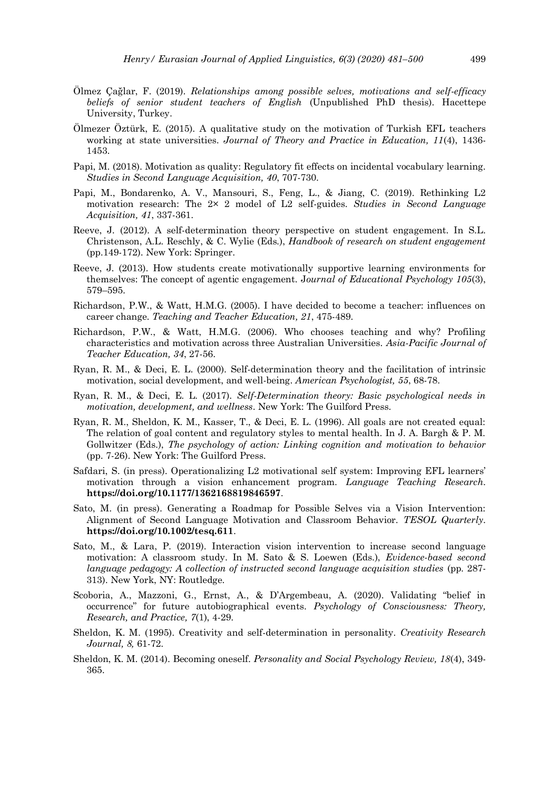- Ölmez Çağlar, F. (2019). *Relationships among possible selves, motivations and self-efficacy beliefs of senior student teachers of English* (Unpublished PhD thesis). Hacettepe University, Turkey.
- Ölmezer Öztürk, E. (2015). A qualitative study on the motivation of Turkish EFL teachers working at state universities. *Journal of Theory and Practice in Education, 11*(4), 1436- 1453.
- Papi, M. (2018). Motivation as quality: Regulatory fit effects on incidental vocabulary learning. *Studies in Second Language Acquisition, 40*, 707-730.
- Papi, M., Bondarenko, A. V., Mansouri, S., Feng, L., & Jiang, C. (2019). Rethinking L2 motivation research: The 2× 2 model of L2 self-guides. *Studies in Second Language Acquisition, 41*, 337-361.
- Reeve, J. (2012). A self-determination theory perspective on student engagement. In S.L. Christenson, A.L. Reschly, & C. Wylie (Eds.), *Handbook of research on student engagement* (pp.149-172). New York: Springer.
- Reeve, J. (2013). How students create motivationally supportive learning environments for themselves: The concept of agentic engagement. J*ournal of Educational Psychology 105*(3), 579–595.
- Richardson, P.W., & Watt, H.M.G. (2005). I have decided to become a teacher: influences on career change. *Teaching and Teacher Education, 21*, 475-489.
- Richardson, P.W., & Watt, H.M.G. (2006). Who chooses teaching and why? Profiling characteristics and motivation across three Australian Universities. *Asia-Pacific Journal of Teacher Education, 34*, 27-56.
- Ryan, R. M., & Deci, E. L. (2000). Self-determination theory and the facilitation of intrinsic motivation, social development, and well-being. *American Psychologist, 55*, 68-78.
- Ryan, R. M., & Deci, E. L. (2017). *Self-Determination theory: Basic psychological needs in motivation, development, and wellness*. New York: The Guilford Press.
- Ryan, R. M., Sheldon, K. M., Kasser, T., & Deci, E. L. (1996). All goals are not created equal: The relation of goal content and regulatory styles to mental health. In J. A. Bargh & P. M. Gollwitzer (Eds.), *The psychology of action: Linking cognition and motivation to behavior* (pp. 7-26). New York: The Guilford Press.
- Safdari, S. (in press). Operationalizing L2 motivational self system: Improving EFL learners' motivation through a vision enhancement program. *Language Teaching Research*. **https://doi.org/10.1177/1362168819846597**.
- Sato, M. (in press). Generating a Roadmap for Possible Selves via a Vision Intervention: Alignment of Second Language Motivation and Classroom Behavior. *TESOL Quarterly*. **https://doi.org/10.1002/tesq.611**.
- Sato, M., & Lara, P. (2019). Interaction vision intervention to increase second language motivation: A classroom study. In M. Sato & S. Loewen (Eds.), *Evidence-based second language pedagogy: A collection of instructed second language acquisition studies* (pp. 287-313). New York, NY: Routledge.
- Scoboria, A., Mazzoni, G., Ernst, A., & D'Argembeau, A. (2020). Validating "belief in occurrence" for future autobiographical events. *Psychology of Consciousness: Theory, Research, and Practice, 7*(1), 4-29.
- Sheldon, K. M. (1995). Creativity and self-determination in personality. *Creativity Research Journal, 8,* 61-72.
- Sheldon, K. M. (2014). Becoming oneself. *Personality and Social Psychology Review, 18*(4), 349- 365.